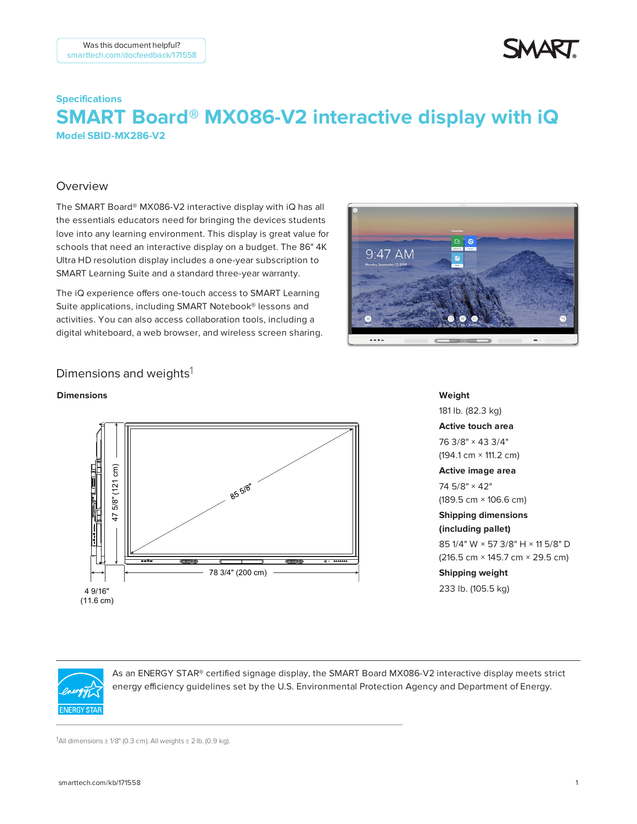# **Specifications SMART Board® MX086-V2 interactive display with iQ – Model SBID-MX286-V2**

### Overview

The SMART Board® MX086-V2 interactive display with iQ has all the essentials educators need for bringing the devices students love into any learning environment. This display is great value for schools that need an interactive display on a budget. The 86" 4K Ultra HD resolution display includes a one-year subscription to SMART Learning Suite and a standard three-year warranty.

The iQ experience offers one-touch access to SMART Learning Suite applications, including SMART Notebook® lessons and activities. You can also access collaboration tools, including a digital whiteboard, a web browser, and wireless screen sharing.



### Dimensions and weights<sup>1</sup>

#### **Dimensions**



**Weight** 181 lb. (82.3 kg) **Active touch area** 76 3/8" × 43 3/4" (194.1 cm × 111.2 cm) **Active image area** 74 5/8" × 42" (189.5 cm × 106.6 cm) **Shipping dimensions (including pallet)** 85 1/4" W × 57 3/8" H × 11 5/8" D (216.5 cm × 145.7 cm × 29.5 cm) **Shipping weight** 233 lb. (105.5 kg)



As an ENERGY STAR® certified signage display, the SMART Board MX086-V2 interactive display meets strict energy efficiency guidelines set by the U.S. Environmental Protection Agency and Department of Energy.

1All dimensions  $\pm$  1/8" (0.3 cm). All weights  $\pm$  2 lb. (0.9 kg).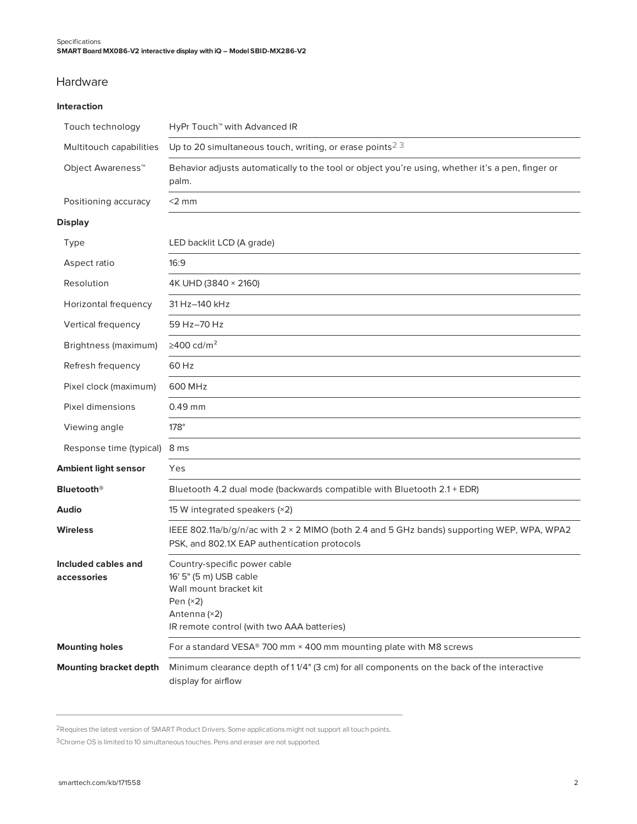### Hardware

#### **Interaction**

| Touch technology                   | HyPr Touch <sup>™</sup> with Advanced IR                                                                                                                     |
|------------------------------------|--------------------------------------------------------------------------------------------------------------------------------------------------------------|
| Multitouch capabilities            | Up to 20 simultaneous touch, writing, or erase points <sup>23</sup>                                                                                          |
| Object Awareness <sup>™</sup>      | Behavior adjusts automatically to the tool or object you're using, whether it's a pen, finger or<br>palm.                                                    |
| Positioning accuracy               | $<$ 2 mm                                                                                                                                                     |
| <b>Display</b>                     |                                                                                                                                                              |
| Type                               | LED backlit LCD (A grade)                                                                                                                                    |
| Aspect ratio                       | 16:9                                                                                                                                                         |
| Resolution                         | 4K UHD (3840 × 2160)                                                                                                                                         |
| Horizontal frequency               | 31 Hz-140 kHz                                                                                                                                                |
| Vertical frequency                 | 59 Hz-70 Hz                                                                                                                                                  |
| Brightness (maximum)               | ≥400 cd/m <sup>2</sup>                                                                                                                                       |
| Refresh frequency                  | 60 Hz                                                                                                                                                        |
| Pixel clock (maximum)              | 600 MHz                                                                                                                                                      |
| Pixel dimensions                   | $0.49$ mm                                                                                                                                                    |
| Viewing angle                      | $178^\circ$                                                                                                                                                  |
| Response time (typical)            | 8 ms                                                                                                                                                         |
| <b>Ambient light sensor</b>        | Yes                                                                                                                                                          |
| <b>Bluetooth®</b>                  | Bluetooth 4.2 dual mode (backwards compatible with Bluetooth 2.1 + EDR)                                                                                      |
| Audio                              | 15 W integrated speakers (×2)                                                                                                                                |
| <b>Wireless</b>                    | IEEE 802.11a/b/g/n/ac with 2 × 2 MIMO (both 2.4 and 5 GHz bands) supporting WEP, WPA, WPA2<br>PSK, and 802.1X EAP authentication protocols                   |
| Included cables and<br>accessories | Country-specific power cable<br>16' 5" (5 m) USB cable<br>Wall mount bracket kit<br>Pen $(x2)$<br>Antenna (×2)<br>IR remote control (with two AAA batteries) |
| <b>Mounting holes</b>              | For a standard VESA® 700 mm × 400 mm mounting plate with M8 screws                                                                                           |
| <b>Mounting bracket depth</b>      | Minimum clearance depth of 11/4" (3 cm) for all components on the back of the interactive<br>display for airflow                                             |

2Requires the latest version of SMART Product Drivers. Some applications might not support all touch points.

3Chrome OS is limited to 10 simultaneous touches. Pens and eraser are not supported.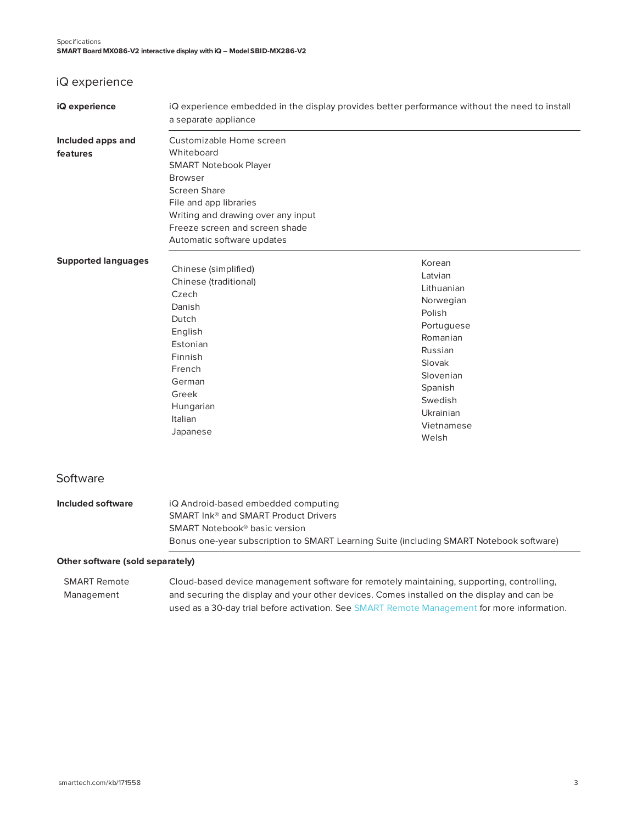## iQ experience

| iQ experience                    | iQ experience embedded in the display provides better performance without the need to install<br>a separate appliance                                                                                                                    |                                                                                                                                                                              |
|----------------------------------|------------------------------------------------------------------------------------------------------------------------------------------------------------------------------------------------------------------------------------------|------------------------------------------------------------------------------------------------------------------------------------------------------------------------------|
| Included apps and<br>features    | Customizable Home screen<br>Whiteboard<br><b>SMART Notebook Player</b><br><b>Browser</b><br>Screen Share<br>File and app libraries<br>Writing and drawing over any input<br>Freeze screen and screen shade<br>Automatic software updates |                                                                                                                                                                              |
| <b>Supported languages</b>       | Chinese (simplified)<br>Chinese (traditional)<br>Czech<br>Danish<br>Dutch<br>English<br>Estonian<br>Finnish<br>French<br>German<br>Greek<br>Hungarian<br>Italian<br>Japanese                                                             | Korean<br>Latvian<br>Lithuanian<br>Norwegian<br>Polish<br>Portuguese<br>Romanian<br>Russian<br>Slovak<br>Slovenian<br>Spanish<br>Swedish<br>Ukrainian<br>Vietnamese<br>Welsh |
| Software                         |                                                                                                                                                                                                                                          |                                                                                                                                                                              |
| Included software                | iQ Android-based embedded computing<br>SMART Ink <sup>®</sup> and SMART Product Drivers<br>SMART Notebook <sup>®</sup> basic version<br>Bonus one-year subscription to SMART Learning Suite (including SMART Notebook software)          |                                                                                                                                                                              |
| Other software (sold separately) |                                                                                                                                                                                                                                          |                                                                                                                                                                              |

SMART Remote Management Cloud-based device management software for remotely maintaining, supporting, controlling, and securing the display and your other devices. Comes installed on the display and can be used as a 30-day trial before activation. See SMART Remote [Management](https://www.smarttech.com/products/remote-management) for more information.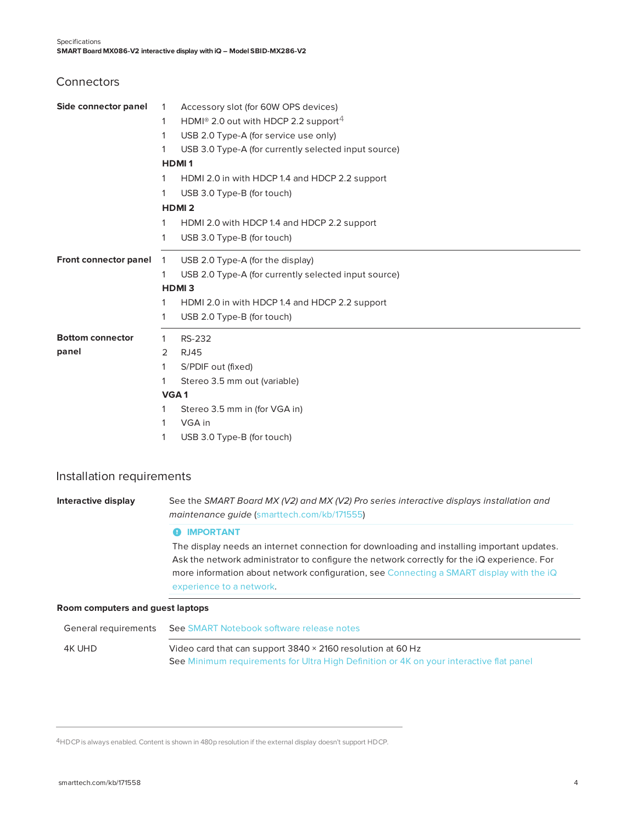**Connectors** 

| Side connector panel    | $\mathbf{1}$     | Accessory slot (for 60W OPS devices)                         |
|-------------------------|------------------|--------------------------------------------------------------|
|                         | 1                | HDMI <sup>®</sup> 2.0 out with HDCP 2.2 support <sup>4</sup> |
|                         | 1                | USB 2.0 Type-A (for service use only)                        |
|                         | 1                | USB 3.0 Type-A (for currently selected input source)         |
|                         |                  | <b>HDMI1</b>                                                 |
|                         | 1                | HDMI 2.0 in with HDCP 1.4 and HDCP 2.2 support               |
|                         | 1                | USB 3.0 Type-B (for touch)                                   |
|                         |                  | <b>HDMI2</b>                                                 |
|                         | 1                | HDMI 2.0 with HDCP 1.4 and HDCP 2.2 support                  |
|                         | 1                | USB 3.0 Type-B (for touch)                                   |
| Front connector panel   | $\mathbf{1}$     | USB 2.0 Type-A (for the display)                             |
|                         | 1                | USB 2.0 Type-A (for currently selected input source)         |
|                         |                  | HDMI <sub>3</sub>                                            |
|                         | 1                | HDMI 2.0 in with HDCP 1.4 and HDCP 2.2 support               |
|                         | 1                | USB 2.0 Type-B (for touch)                                   |
| <b>Bottom connector</b> | 1                | RS-232                                                       |
| panel                   | 2                | <b>RJ45</b>                                                  |
|                         | 1                | S/PDIF out (fixed)                                           |
|                         | 1                | Stereo 3.5 mm out (variable)                                 |
|                         | VGA <sub>1</sub> |                                                              |
|                         |                  | Stereo 3.5 mm in (for VGA in)                                |
|                         | 1                | VGA in                                                       |
|                         | 1                | USB 3.0 Type-B (for touch)                                   |

#### Installation requirements

**Interactive display** See the *SMART Board MX (V2) and MX (V2) Pro series interactive displays installation and maintenance guide* ([smarttech.com/kb/171555\)](http://www.smarttech.com/kb/171555)

#### **O** IMPORTANT

The display needs an internet connection for downloading and installing important updates. Ask the network administrator to configure the network correctly for the iQ experience. For more information about network configuration, see [Connecting](https://support.smarttech.com/docs/redirect/?product=iq&context=configure-network) a SMART display with the iQ [experience](https://support.smarttech.com/docs/redirect/?product=iq&context=configure-network) to a network.

#### **Room computers and guest laptops**

| General requirements | See SMART Notebook software release notes                                               |
|----------------------|-----------------------------------------------------------------------------------------|
| 4K UHD               | Video card that can support 3840 × 2160 resolution at 60 Hz                             |
|                      | See Minimum requirements for Ultra High Definition or 4K on your interactive flat panel |

4HDCP is always enabled. Content is shown in 480p resolution if the external display doesn't support HDCP.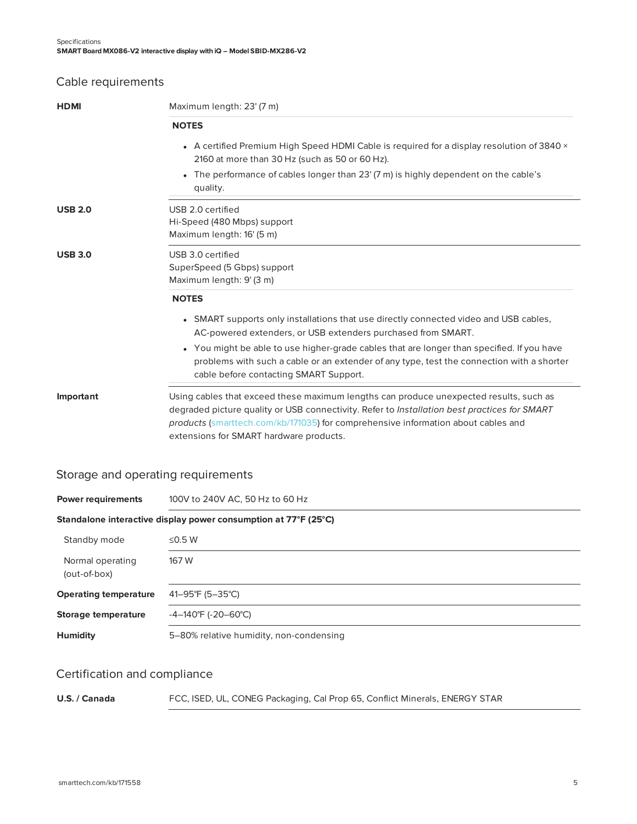## Cable requirements

| <b>HDMI</b>    | Maximum length: 23' (7 m)                                                                                                                                                                                                                                                                                              |
|----------------|------------------------------------------------------------------------------------------------------------------------------------------------------------------------------------------------------------------------------------------------------------------------------------------------------------------------|
|                | <b>NOTES</b>                                                                                                                                                                                                                                                                                                           |
|                | • A certified Premium High Speed HDMI Cable is required for a display resolution of 3840 $\times$<br>2160 at more than 30 Hz (such as 50 or 60 Hz).                                                                                                                                                                    |
|                | The performance of cables longer than 23' (7 m) is highly dependent on the cable's<br>quality.                                                                                                                                                                                                                         |
| <b>USB 2.0</b> | USB 2.0 certified<br>Hi-Speed (480 Mbps) support<br>Maximum length: 16' (5 m)                                                                                                                                                                                                                                          |
| <b>USB 3.0</b> | USB 3.0 certified<br>SuperSpeed (5 Gbps) support<br>Maximum length: 9' (3 m)                                                                                                                                                                                                                                           |
|                | <b>NOTES</b>                                                                                                                                                                                                                                                                                                           |
|                | • SMART supports only installations that use directly connected video and USB cables,<br>AC-powered extenders, or USB extenders purchased from SMART.                                                                                                                                                                  |
|                | • You might be able to use higher-grade cables that are longer than specified. If you have<br>problems with such a cable or an extender of any type, test the connection with a shorter<br>cable before contacting SMART Support.                                                                                      |
| Important      | Using cables that exceed these maximum lengths can produce unexpected results, such as<br>degraded picture quality or USB connectivity. Refer to Installation best practices for SMART<br>products (smarttech.com/kb/171035) for comprehensive information about cables and<br>extensions for SMART hardware products. |

## Storage and operating requirements

| <b>Power requirements</b>                                       | 100V to 240V AC, 50 Hz to 60 Hz         |  |
|-----------------------------------------------------------------|-----------------------------------------|--|
| Standalone interactive display power consumption at 77°F (25°C) |                                         |  |
| Standby mode                                                    | ≤0.5 W                                  |  |
| Normal operating<br>(out-of-box)                                | 167 W                                   |  |
| <b>Operating temperature</b>                                    | 41-95°F (5-35°C)                        |  |
| Storage temperature                                             | $-4-140^{\circ}F$ (-20-60 $^{\circ}C$ ) |  |
| <b>Humidity</b>                                                 | 5-80% relative humidity, non-condensing |  |

## Certification and compliance

| U.S. / Canada<br>FCC, ISED, UL, CONEG Packaging, Cal Prop 65, Conflict Minerals, ENERGY STAR |
|----------------------------------------------------------------------------------------------|
|----------------------------------------------------------------------------------------------|